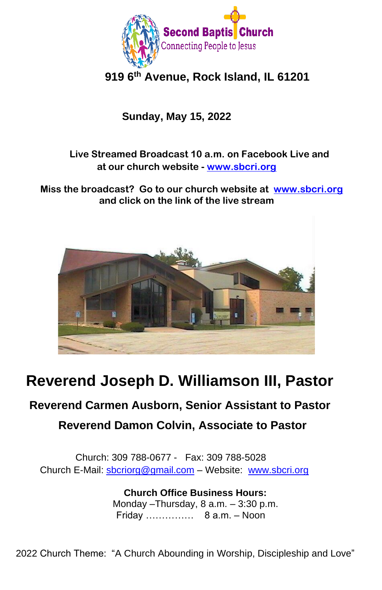

# **919 6th Avenue, Rock Island, IL 61201**

# **Sunday, May 15, 2022**

## **Live Streamed Broadcast 10 a.m. on Facebook Live and at our church website - [www.sbcri.org](http://www.sbcri.org/)**

 **Miss the broadcast? Go to our church website at [www.sbcri.org](http://www.sbcri.org/) and click on the link of the live stream**



# **Reverend Joseph D. Williamson III, Pastor**

# **Reverend Carmen Ausborn, Senior Assistant to Pastor Reverend Damon Colvin, Associate to Pastor**

Church: 309 788-0677 - Fax: 309 788-5028 Church E-Mail: [sbcriorg@gmail.com](mailto:sbcriorg@gmail.com) – Website: [www.sbcri.org](http://www.sbcri.org/)

> **Church Office Business Hours:** Monday –Thursday, 8 a.m. – 3:30 p.m. Friday …………… 8 a.m. – Noon

2022 Church Theme: "A Church Abounding in Worship, Discipleship and Love"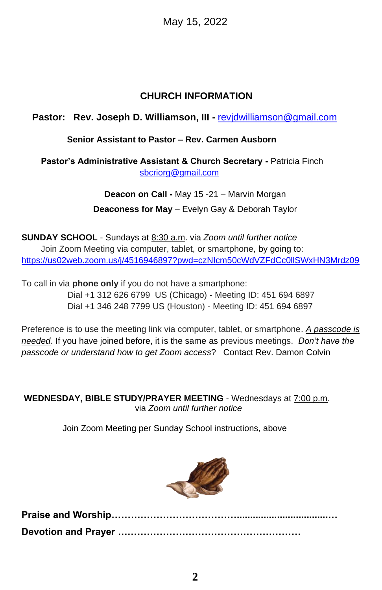May 15, 2022

## **CHURCH INFORMATION**

## **Pastor: Rev. Joseph D. Williamson, III -** [revjdwilliamson@gmail.com](mailto:revjdwilliamson@gmail.com)

### **Senior Assistant to Pastor – Rev. Carmen Ausborn**

 **Pastor's Administrative Assistant & Church Secretary -** Patricia Finch [sbcriorg@gmail.com](mailto:sbcriorg@gmail.com)

> **Deacon on Call -** May 15 -21 – Marvin Morgan **Deaconess for May** – Evelyn Gay & Deborah Taylor

**SUNDAY SCHOOL** - Sundays at 8:30 a.m. via *Zoom until further notice* Join Zoom Meeting via computer, tablet, or smartphone, by going to: <https://us02web.zoom.us/j/4516946897?pwd=czNIcm50cWdVZFdCc0llSWxHN3Mrdz09>

To call in via **phone only** if you do not have a smartphone: Dial +1 312 626 6799 US (Chicago) - Meeting ID: 451 694 6897 Dial +1 346 248 7799 US (Houston) - Meeting ID: 451 694 6897

Preference is to use the meeting link via computer, tablet, or smartphone. *A passcode is needed*. If you have joined before, it is the same as previous meetings. *Don't have the passcode or understand how to get Zoom access*? Contact Rev. Damon Colvin

**WEDNESDAY, BIBLE STUDY/PRAYER MEETING** - Wednesdays at 7:00 p.m. via *Zoom until further notice*

Join Zoom Meeting per Sunday School instructions, above

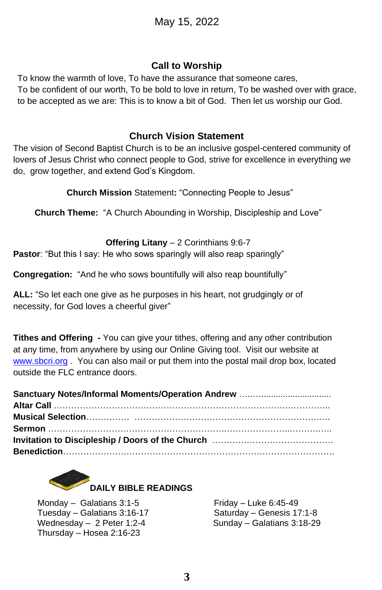#### **Call to Worship**

To know the warmth of love, To have the assurance that someone cares, To be confident of our worth, To be bold to love in return, To be washed over with grace, to be accepted as we are: This is to know a bit of God. Then let us worship our God.

#### **Church Vision Statement**

The vision of Second Baptist Church is to be an inclusive gospel-centered community of lovers of Jesus Christ who connect people to God, strive for excellence in everything we do, grow together, and extend God's Kingdom.

**Church Mission** Statement**:** "Connecting People to Jesus"

**Church Theme:** "A Church Abounding in Worship, Discipleship and Love"

**Offering Litany** – 2 Corinthians 9:6-7

**Pastor:** "But this I say: He who sows sparingly will also reap sparingly"

**Congregation:** "And he who sows bountifully will also reap bountifully"

**ALL:** "So let each one give as he purposes in his heart, not grudgingly or of necessity, for God loves a cheerful giver"

**Tithes and Offering -** You can give your tithes, offering and any other contribution at any time, from anywhere by using our Online Giving tool. Visit our website at [www.sbcri.org](http://www.sbcri.org/) . You can also mail or put them into the postal mail drop box, located outside the FLC entrance doors.



Monday – Galatians  $3:1-5$  Friday – Luke 6:45-49 Tuesday – Galatians 3:16-17 Saturday – Genesis 17:1-8 Wednesday – 2 Peter 1:2-4 Sunday – Galatians 3:18-29 Thursday – Hosea 2:16-23